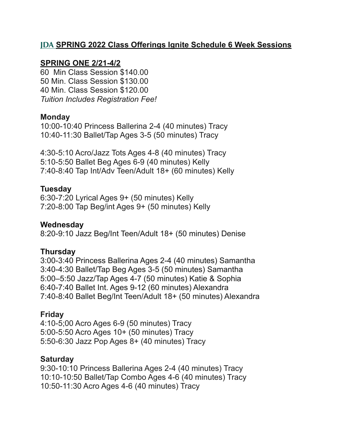### **JDA SPRING 2022 Class Offerings Ignite Schedule 6 Week Sessions**

#### **SPRING ONE 2/21-4/2**

60 Min Class Session \$140.00 50 Min. Class Session \$130.00 40 Min. Class Session \$120.00 *Tuition Includes Registration Fee!*

#### **Monday**

10:00-10:40 Princess Ballerina 2-4 (40 minutes) Tracy 10:40-11:30 Ballet/Tap Ages 3-5 (50 minutes) Tracy

4:30-5:10 Acro/Jazz Tots Ages 4-8 (40 minutes) Tracy 5:10-5:50 Ballet Beg Ages 6-9 (40 minutes) Kelly 7:40-8:40 Tap Int/Adv Teen/Adult 18+ (60 minutes) Kelly

### **Tuesday**

6:30-7:20 Lyrical Ages 9+ (50 minutes) Kelly 7:20-8:00 Tap Beg/int Ages 9+ (50 minutes) Kelly

### **Wednesday**

8:20-9:10 Jazz Beg/Int Teen/Adult 18+ (50 minutes) Denise

### **Thursday**

3:00-3:40 Princess Ballerina Ages 2-4 (40 minutes) Samantha 3:40-4:30 Ballet/Tap Beg Ages 3-5 (50 minutes) Samantha 5:00–5:50 Jazz/Tap Ages 4-7 (50 minutes) Katie & Sophia 6:40-7:40 Ballet Int. Ages 9-12 (60 minutes) Alexandra 7:40-8:40 Ballet Beg/Int Teen/Adult 18+ (50 minutes) Alexandra

### **Friday**

4:10-5;00 Acro Ages 6-9 (50 minutes) Tracy 5:00-5:50 Acro Ages 10+ (50 minutes) Tracy 5:50-6:30 Jazz Pop Ages 8+ (40 minutes) Tracy

### **Saturday**

9:30-10:10 Princess Ballerina Ages 2-4 (40 minutes) Tracy 10:10-10:50 Ballet/Tap Combo Ages 4-6 (40 minutes) Tracy 10:50-11:30 Acro Ages 4-6 (40 minutes) Tracy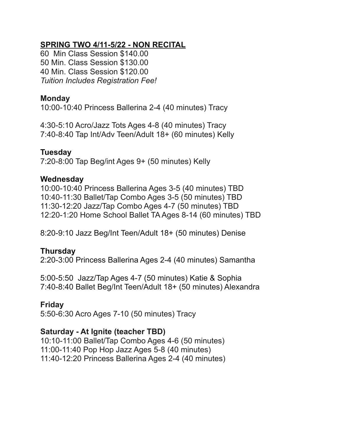### **SPRING TWO 4/11-5/22 - NON RECITAL**

60 Min Class Session \$140.00 50 Min. Class Session \$130.00 40 Min. Class Session \$120.00 *Tuition Includes Registration Fee!*

### **Monday**

10:00-10:40 Princess Ballerina 2-4 (40 minutes) Tracy

4:30-5:10 Acro/Jazz Tots Ages 4-8 (40 minutes) Tracy 7:40-8:40 Tap Int/Adv Teen/Adult 18+ (60 minutes) Kelly

### **Tuesday**

7:20-8:00 Tap Beg/int Ages 9+ (50 minutes) Kelly

### **Wednesday**

10:00-10:40 Princess Ballerina Ages 3-5 (40 minutes) TBD 10:40-11:30 Ballet/Tap Combo Ages 3-5 (50 minutes) TBD 11:30-12:20 Jazz/Tap Combo Ages 4-7 (50 minutes) TBD 12:20-1:20 Home School Ballet TA Ages 8-14 (60 minutes) TBD

8:20-9:10 Jazz Beg/Int Teen/Adult 18+ (50 minutes) Denise

### **Thursday**

2:20-3:00 Princess Ballerina Ages 2-4 (40 minutes) Samantha

5:00-5:50 Jazz/Tap Ages 4-7 (50 minutes) Katie & Sophia 7:40-8:40 Ballet Beg/Int Teen/Adult 18+ (50 minutes) Alexandra

### **Friday**

5:50-6:30 Acro Ages 7-10 (50 minutes) Tracy

### **Saturday - At Ignite (teacher TBD)**

10:10-11:00 Ballet/Tap Combo Ages 4-6 (50 minutes) 11:00-11:40 Pop Hop Jazz Ages 5-8 (40 minutes) 11:40-12:20 Princess Ballerina Ages 2-4 (40 minutes)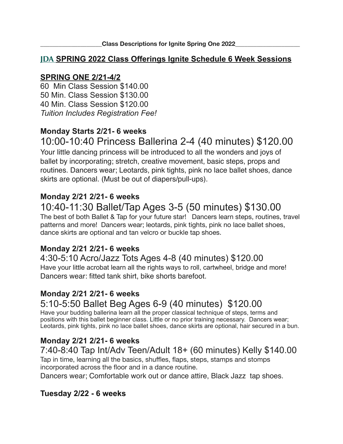### **JDA SPRING 2022 Class Offerings Ignite Schedule 6 Week Sessions**

### **SPRING ONE 2/21-4/2**

60 Min Class Session \$140.00 50 Min. Class Session \$130.00 40 Min. Class Session \$120.00 *Tuition Includes Registration Fee!*

# **Monday Starts 2/21- 6 weeks**

# 10:00-10:40 Princess Ballerina 2-4 (40 minutes) \$120.00

Your little dancing princess will be introduced to all the wonders and joys of ballet by incorporating; stretch, creative movement, basic steps, props and routines. Dancers wear; Leotards, pink tights, pink no lace ballet shoes, dance skirts are optional. (Must be out of diapers/pull-ups).

### **Monday 2/21 2/21- 6 weeks**

# 10:40-11:30 Ballet/Tap Ages 3-5 (50 minutes) \$130.00

The best of both Ballet & Tap for your future star! Dancers learn steps, routines, travel patterns and more! Dancers wear; leotards, pink tights, pink no lace ballet shoes, dance skirts are optional and tan velcro or buckle tap shoes.

### **Monday 2/21 2/21- 6 weeks**

### 4:30-5:10 Acro/Jazz Tots Ages 4-8 (40 minutes) \$120.00

Have your little acrobat learn all the rights ways to roll, cartwheel, bridge and more! Dancers wear: fitted tank shirt, bike shorts barefoot.

### **Monday 2/21 2/21- 6 weeks**

# 5:10-5:50 Ballet Beg Ages 6-9 (40 minutes) \$120.00

Have your budding ballerina learn all the proper classical technique of steps, terms and positions with this ballet beginner class. Little or no prior training necessary. Dancers wear; Leotards, pink tights, pink no lace ballet shoes, dance skirts are optional, hair secured in a bun.

### **Monday 2/21 2/21- 6 weeks**

# 7:40-8:40 Tap Int/Adv Teen/Adult 18+ (60 minutes) Kelly \$140.00

Tap in time, learning all the basics, shuffles, flaps, steps, stamps and stomps incorporated across the floor and in a dance routine.

Dancers wear; Comfortable work out or dance attire, Black Jazz tap shoes.

### **Tuesday 2/22 - 6 weeks**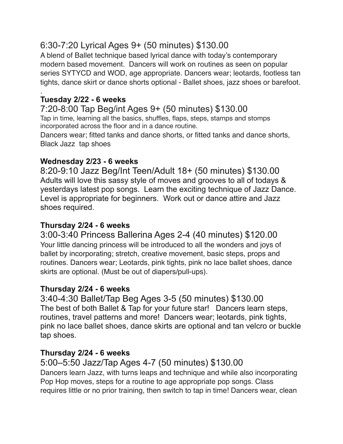# 6:30-7:20 Lyrical Ages 9+ (50 minutes) \$130.00

A blend of Ballet technique based lyrical dance with today's contemporary modern based movement. Dancers will work on routines as seen on popular series SYTYCD and WOD, age appropriate. Dancers wear; leotards, footless tan tights, dance skirt or dance shorts optional - Ballet shoes, jazz shoes or barefoot.

#### . **Tuesday 2/22 - 6 weeks**

### 7:20-8:00 Tap Beg/int Ages 9+ (50 minutes) \$130.00 Tap in time, learning all the basics, shuffles, flaps, steps, stamps and stomps

incorporated across the floor and in a dance routine. Dancers wear; fitted tanks and dance shorts, or fitted tanks and dance shorts,

Black Jazz tap shoes

# **Wednesday 2/23 - 6 weeks**

8:20-9:10 Jazz Beg/Int Teen/Adult 18+ (50 minutes) \$130.00 Adults will love this sassy style of moves and grooves to all of todays & yesterdays latest pop songs. Learn the exciting technique of Jazz Dance. Level is appropriate for beginners. Work out or dance attire and Jazz shoes required.

# **Thursday 2/24 - 6 weeks**

### 3:00-3:40 Princess Ballerina Ages 2-4 (40 minutes) \$120.00 Your little dancing princess will be introduced to all the wonders and joys of ballet by incorporating; stretch, creative movement, basic steps, props and routines. Dancers wear; Leotards, pink tights, pink no lace ballet shoes, dance skirts are optional. (Must be out of diapers/pull-ups).

# **Thursday 2/24 - 6 weeks**

3:40-4:30 Ballet/Tap Beg Ages 3-5 (50 minutes) \$130.00 The best of both Ballet & Tap for your future star! Dancers learn steps, routines, travel patterns and more! Dancers wear; leotards, pink tights, pink no lace ballet shoes, dance skirts are optional and tan velcro or buckle tap shoes.

# **Thursday 2/24 - 6 weeks**

### 5:00–5:50 Jazz/Tap Ages 4-7 (50 minutes) \$130.00 Dancers learn Jazz, with turns leaps and technique and while also incorporating Pop Hop moves, steps for a routine to age appropriate pop songs. Class requires little or no prior training, then switch to tap in time! Dancers wear, clean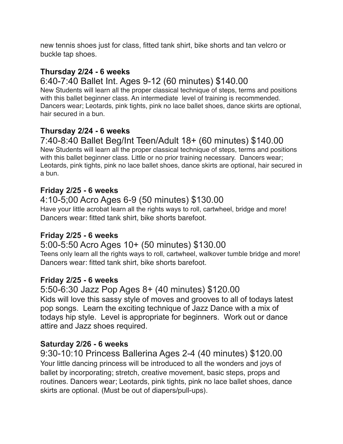new tennis shoes just for class, fitted tank shirt, bike shorts and tan velcro or buckle tap shoes.

### **Thursday 2/24 - 6 weeks**

# 6:40-7:40 Ballet Int. Ages 9-12 (60 minutes) \$140.00

New Students will learn all the proper classical technique of steps, terms and positions with this ballet beginner class. An intermediate level of training is recommended. Dancers wear; Leotards, pink tights, pink no lace ballet shoes, dance skirts are optional, hair secured in a bun.

# **Thursday 2/24 - 6 weeks**

# 7:40-8:40 Ballet Beg/Int Teen/Adult 18+ (60 minutes) \$140.00

New Students will learn all the proper classical technique of steps, terms and positions with this ballet beginner class. Little or no prior training necessary. Dancers wear; Leotards, pink tights, pink no lace ballet shoes, dance skirts are optional, hair secured in a bun.

### **Friday 2/25 - 6 weeks**

#### 4:10-5;00 Acro Ages 6-9 (50 minutes) \$130.00 Have your little acrobat learn all the rights ways to roll, cartwheel, bridge and more! Dancers wear: fitted tank shirt, bike shorts barefoot.

### **Friday 2/25 - 6 weeks**

# 5:00-5:50 Acro Ages 10+ (50 minutes) \$130.00

Teens only learn all the rights ways to roll, cartwheel, walkover tumble bridge and more! Dancers wear: fitted tank shirt, bike shorts barefoot.

### **Friday 2/25 - 6 weeks**

5:50-6:30 Jazz Pop Ages 8+ (40 minutes) \$120.00 Kids will love this sassy style of moves and grooves to all of todays latest pop songs. Learn the exciting technique of Jazz Dance with a mix of todays hip style. Level is appropriate for beginners. Work out or dance attire and Jazz shoes required.

### **Saturday 2/26 - 6 weeks**

9:30-10:10 Princess Ballerina Ages 2-4 (40 minutes) \$120.00 Your little dancing princess will be introduced to all the wonders and joys of ballet by incorporating; stretch, creative movement, basic steps, props and routines. Dancers wear; Leotards, pink tights, pink no lace ballet shoes, dance skirts are optional. (Must be out of diapers/pull-ups).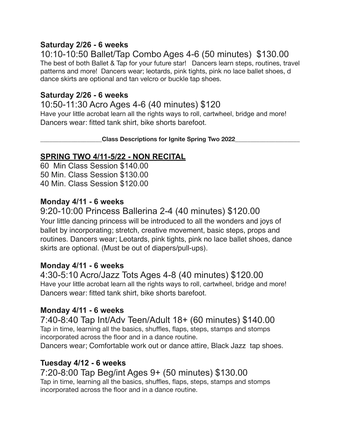### **Saturday 2/26 - 6 weeks**

10:10-10:50 Ballet/Tap Combo Ages 4-6 (50 minutes) \$130.00 The best of both Ballet & Tap for your future star! Dancers learn steps, routines, travel patterns and more! Dancers wear; leotards, pink tights, pink no lace ballet shoes, d dance skirts are optional and tan velcro or buckle tap shoes.

### **Saturday 2/26 - 6 weeks**

### 10:50-11:30 Acro Ages 4-6 (40 minutes) \$120

Have your little acrobat learn all the rights ways to roll, cartwheel, bridge and more! Dancers wear: fitted tank shirt, bike shorts barefoot.

**Class Descriptions for Ignite Spring Two 2022** 

### **SPRING TWO 4/11-5/22 - NON RECITAL**

60 Min Class Session \$140.00 50 Min. Class Session \$130.00 40 Min. Class Session \$120.00

### **Monday 4/11 - 6 weeks**

9:20-10:00 Princess Ballerina 2-4 (40 minutes) \$120.00

Your little dancing princess will be introduced to all the wonders and joys of ballet by incorporating; stretch, creative movement, basic steps, props and routines. Dancers wear; Leotards, pink tights, pink no lace ballet shoes, dance skirts are optional. (Must be out of diapers/pull-ups).

### **Monday 4/11 - 6 weeks**

4:30-5:10 Acro/Jazz Tots Ages 4-8 (40 minutes) \$120.00 Have your little acrobat learn all the rights ways to roll, cartwheel, bridge and more! Dancers wear: fitted tank shirt, bike shorts barefoot.

### **Monday 4/11 - 6 weeks**

7:40-8:40 Tap Int/Adv Teen/Adult 18+ (60 minutes) \$140.00 Tap in time, learning all the basics, shuffles, flaps, steps, stamps and stomps incorporated across the floor and in a dance routine.

Dancers wear; Comfortable work out or dance attire, Black Jazz tap shoes.

### **Tuesday 4/12 - 6 weeks**

7:20-8:00 Tap Beg/int Ages 9+ (50 minutes) \$130.00 Tap in time, learning all the basics, shuffles, flaps, steps, stamps and stomps incorporated across the floor and in a dance routine.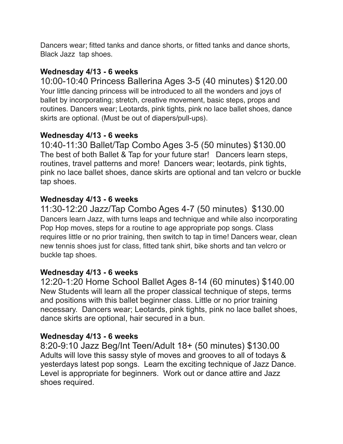Dancers wear; fitted tanks and dance shorts, or fitted tanks and dance shorts, Black Jazz tap shoes.

### **Wednesday 4/13 - 6 weeks**

10:00-10:40 Princess Ballerina Ages 3-5 (40 minutes) \$120.00 Your little dancing princess will be introduced to all the wonders and joys of ballet by incorporating; stretch, creative movement, basic steps, props and routines. Dancers wear; Leotards, pink tights, pink no lace ballet shoes, dance skirts are optional. (Must be out of diapers/pull-ups).

# **Wednesday 4/13 - 6 weeks**

10:40-11:30 Ballet/Tap Combo Ages 3-5 (50 minutes) \$130.00 The best of both Ballet & Tap for your future star! Dancers learn steps, routines, travel patterns and more! Dancers wear; leotards, pink tights, pink no lace ballet shoes, dance skirts are optional and tan velcro or buckle tap shoes.

# **Wednesday 4/13 - 6 weeks**

11:30-12:20 Jazz/Tap Combo Ages 4-7 (50 minutes) \$130.00 Dancers learn Jazz, with turns leaps and technique and while also incorporating Pop Hop moves, steps for a routine to age appropriate pop songs. Class requires little or no prior training, then switch to tap in time! Dancers wear, clean new tennis shoes just for class, fitted tank shirt, bike shorts and tan velcro or buckle tap shoes.

# **Wednesday 4/13 - 6 weeks**

12:20-1:20 Home School Ballet Ages 8-14 (60 minutes) \$140.00 New Students will learn all the proper classical technique of steps, terms and positions with this ballet beginner class. Little or no prior training necessary. Dancers wear; Leotards, pink tights, pink no lace ballet shoes, dance skirts are optional, hair secured in a bun.

# **Wednesday 4/13 - 6 weeks**

8:20-9:10 Jazz Beg/Int Teen/Adult 18+ (50 minutes) \$130.00 Adults will love this sassy style of moves and grooves to all of todays & yesterdays latest pop songs. Learn the exciting technique of Jazz Dance. Level is appropriate for beginners. Work out or dance attire and Jazz shoes required.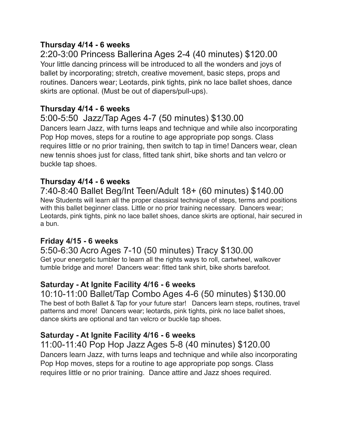### **Thursday 4/14 - 6 weeks**

# 2:20-3:00 Princess Ballerina Ages 2-4 (40 minutes) \$120.00

Your little dancing princess will be introduced to all the wonders and joys of ballet by incorporating; stretch, creative movement, basic steps, props and routines. Dancers wear; Leotards, pink tights, pink no lace ballet shoes, dance skirts are optional. (Must be out of diapers/pull-ups).

### **Thursday 4/14 - 6 weeks**

# 5:00-5:50 Jazz/Tap Ages 4-7 (50 minutes) \$130.00

Dancers learn Jazz, with turns leaps and technique and while also incorporating Pop Hop moves, steps for a routine to age appropriate pop songs. Class requires little or no prior training, then switch to tap in time! Dancers wear, clean new tennis shoes just for class, fitted tank shirt, bike shorts and tan velcro or buckle tap shoes.

### **Thursday 4/14 - 6 weeks**

# 7:40-8:40 Ballet Beg/Int Teen/Adult 18+ (60 minutes) \$140.00

New Students will learn all the proper classical technique of steps, terms and positions with this ballet beginner class. Little or no prior training necessary. Dancers wear; Leotards, pink tights, pink no lace ballet shoes, dance skirts are optional, hair secured in a bun.

### **Friday 4/15 - 6 weeks**

5:50-6:30 Acro Ages 7-10 (50 minutes) Tracy \$130.00 Get your energetic tumbler to learn all the rights ways to roll, cartwheel, walkover tumble bridge and more! Dancers wear: fitted tank shirt, bike shorts barefoot.

### **Saturday - At Ignite Facility 4/16 - 6 weeks**

### 10:10-11:00 Ballet/Tap Combo Ages 4-6 (50 minutes) \$130.00

The best of both Ballet & Tap for your future star! Dancers learn steps, routines, travel patterns and more! Dancers wear; leotards, pink tights, pink no lace ballet shoes, dance skirts are optional and tan velcro or buckle tap shoes.

### **Saturday - At Ignite Facility 4/16 - 6 weeks**

11:00-11:40 Pop Hop Jazz Ages 5-8 (40 minutes) \$120.00 Dancers learn Jazz, with turns leaps and technique and while also incorporating Pop Hop moves, steps for a routine to age appropriate pop songs. Class requires little or no prior training. Dance attire and Jazz shoes required.